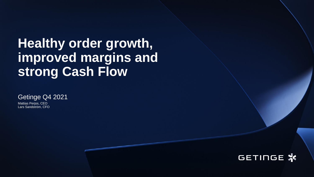## **Healthy order growth, improved margins and strong Cash Flow**

Getinge Q4 2021

Mattias Perjos, CEO Lars Sandström, CFO

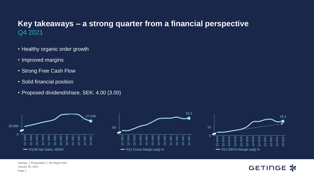#### **Key takeaways – a strong quarter from a financial perspective** Q4 2021

- Healthy organic order growth
- Improved margins
- Strong Free Cash Flow
- Solid financial position
- Proposed dividend/share, SEK: 4.00 (3.00)



**GETINGE X**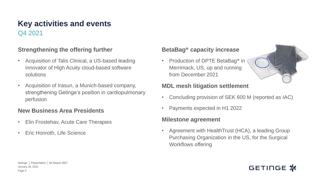#### Q4 2021 **Key activities and events**

#### **Strengthening the offering further**

- Acquisition of Talis Clinical, a US-based leading innovator of High Acuity cloud-based software solutions
- Acquisition of Irasun, a Munich-based company, strengthening Getinge's position in cardiopulmonary perfusion

#### **New Business Area Presidents**

- Elin Frostehav, Acute Care Therapies
- Eric Honroth, Life Science

#### **BetaBag® capacity increase**

• Production of DPTE BetaBag<sup>®</sup> in Merrimack, US, up and running from December 2021



#### **MDL mesh litigation settlement**

- Concluding provision of SEK 600 M (reported as IAC)
- Payments expected in H1 2022

#### **Milestone agreement**

• Agreement with HealthTrust (HCA), a leading Group Purchasing Organization in the US, for the Surgical Workflows offering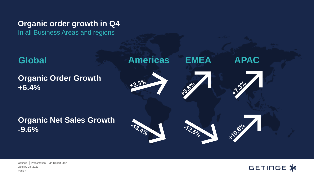**Organic order growth in Q4** 

In all Business Areas and regions



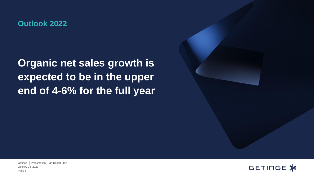#### **Outlook 2022**

## **Organic net sales growth is expected to be in the upper end of 4-6% for the full year**



GETINGE X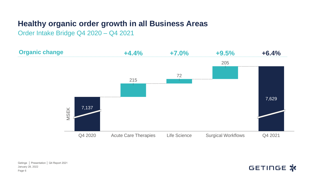#### **Healthy organic order growth in all Business Areas**

Order Intake Bridge Q4 2020 – Q4 2021



January 28, 2022 Getinge │ Presentation │ Q4 Report 2021 Page 6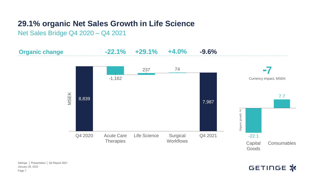#### **29.1% organic Net Sales Growth in Life Science**

Net Sales Bridge Q4 2020 – Q4 2021

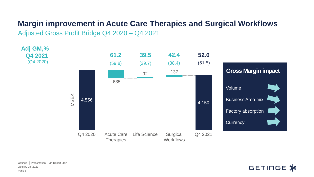## **Margin improvement in Acute Care Therapies and Surgical Workflows**

Adjusted Gross Profit Bridge Q4 2020 – Q4 2021



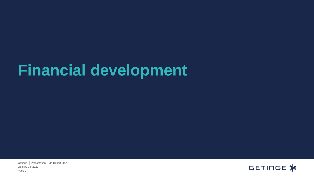# **Financial development**

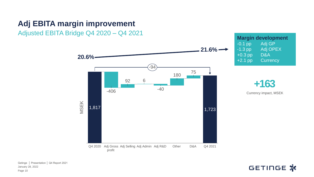#### **Adj EBITA margin improvement**

Adjusted EBITA Bridge Q4 2020 – Q4 2021



**Margin development** -0.1 pp Adj GP<br>-1.3 pp Adj OPI Adj OPEX +0.3 pp D&A +2.1 pp Currency



January 28, 2022 Getinge │ Presentation │ Q4 Report 2021 Page 10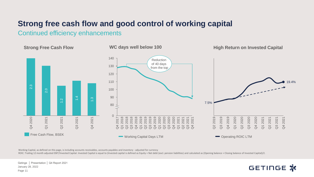#### **Strong free cash flow and good control of working capital**

Continued efficiency enhancements

**Strong Free Cash Flow** 

2.3

Q4 2020



Working Capital, as defined on this page, is including accounts receivables, accounts payables and inventory - adjusted for currency

ROIC: Trailing 12 month adjusted EBIT/Invested Capital. Invested Capital is equal to (Invested capital is defined as Equity + Net debt (excl. pension liabilities) and calculated as (Opening balance + Closing balance of Inv

January 28, 2022 Getinge │ Presentation │ Q4 Report 2021 Page 11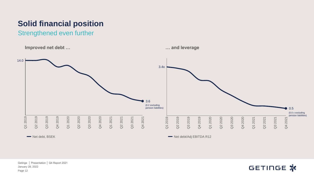## **Solid financial position**

Strengthened even further



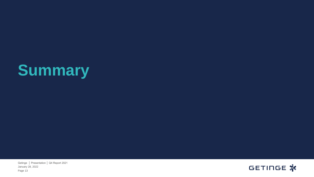# **Summary**

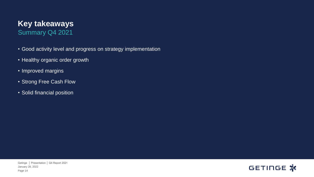#### **Key takeaways** Summary Q4 2021

- Good activity level and progress on strategy implementation
- Healthy organic order growth
- Improved margins
- Strong Free Cash Flow
- Solid financial position

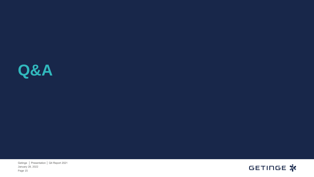

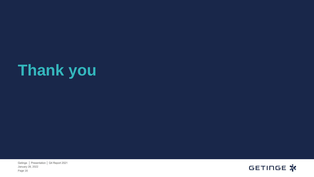# **Thank you**

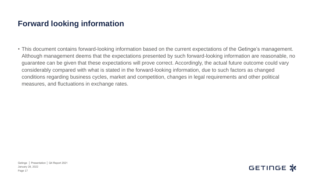#### **Forward looking information**

• This document contains forward-looking information based on the current expectations of the Getinge's management. Although management deems that the expectations presented by such forward-looking information are reasonable, no guarantee can be given that these expectations will prove correct. Accordingly, the actual future outcome could vary considerably compared with what is stated in the forward-looking information, due to such factors as changed conditions regarding business cycles, market and competition, changes in legal requirements and other political measures, and fluctuations in exchange rates.